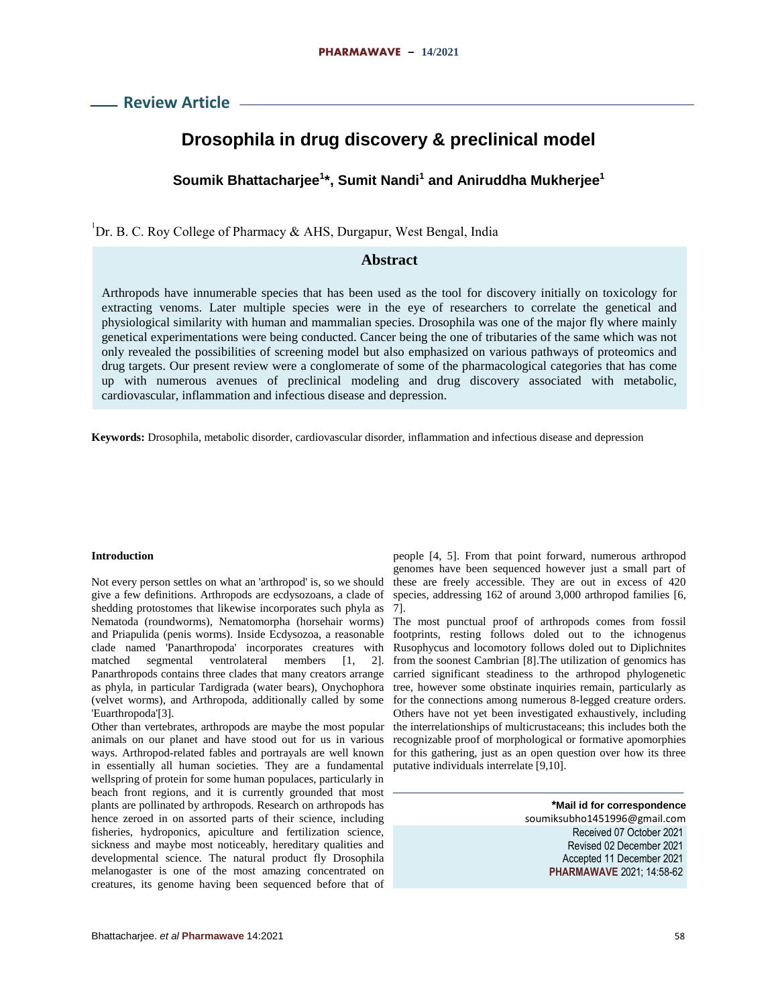**Review Article**

# **Drosophila in drug discovery & preclinical model**

## **Soumik Bhattacharjee<sup>1</sup> \*, Sumit Nandi<sup>1</sup> and Aniruddha Mukherjee<sup>1</sup>**

1 Dr. B. C. Roy College of Pharmacy & AHS, Durgapur, West Bengal, India

### **Abstract**

Arthropods have innumerable species that has been used as the tool for discovery initially on toxicology for extracting venoms. Later multiple species were in the eye of researchers to correlate the genetical and physiological similarity with human and mammalian species. Drosophila was one of the major fly where mainly genetical experimentations were being conducted. Cancer being the one of tributaries of the same which was not only revealed the possibilities of screening model but also emphasized on various pathways of proteomics and drug targets. Our present review were a conglomerate of some of the pharmacological categories that has come up with numerous avenues of preclinical modeling and drug discovery associated with metabolic, cardiovascular, inflammation and infectious disease and depression.

**Keywords:** Drosophila, metabolic disorder, cardiovascular disorder, inflammation and infectious disease and depression

#### **Introduction**

Not every person settles on what an 'arthropod' is, so we should give a few definitions. Arthropods are ecdysozoans, a clade of shedding protostomes that likewise incorporates such phyla as Nematoda (roundworms), Nematomorpha (horsehair worms) and Priapulida (penis worms). Inside Ecdysozoa, a reasonable clade named 'Panarthropoda' incorporates creatures with matched segmental ventrolateral members [1, 2]. Panarthropods contains three clades that many creators arrange as phyla, in particular Tardigrada (water bears), Onychophora (velvet worms), and Arthropoda, additionally called by some 'Euarthropoda'[3].

Other than vertebrates, arthropods are maybe the most popular animals on our planet and have stood out for us in various ways. Arthropod-related fables and portrayals are well known in essentially all human societies. They are a fundamental wellspring of protein for some human populaces, particularly in beach front regions, and it is currently grounded that most plants are pollinated by arthropods. Research on arthropods has hence zeroed in on assorted parts of their science, including fisheries, hydroponics, apiculture and fertilization science, sickness and maybe most noticeably, hereditary qualities and developmental science. The natural product fly Drosophila melanogaster is one of the most amazing concentrated on creatures, its genome having been sequenced before that of

people [4, 5]. From that point forward, numerous arthropod genomes have been sequenced however just a small part of these are freely accessible. They are out in excess of 420 species, addressing 162 of around 3,000 arthropod families [6, 7].

The most punctual proof of arthropods comes from fossil footprints, resting follows doled out to the ichnogenus Rusophycus and locomotory follows doled out to Diplichnites from the soonest Cambrian [8].The utilization of genomics has carried significant steadiness to the arthropod phylogenetic tree, however some obstinate inquiries remain, particularly as for the connections among numerous 8-legged creature orders. Others have not yet been investigated exhaustively, including the interrelationships of multicrustaceans; this includes both the recognizable proof of morphological or formative apomorphies for this gathering, just as an open question over how its three putative individuals interrelate [9,10].

> **\*Mail id for correspondence** soumiksubho1451996@gmail.com Received 07 October 2021 Revised 02 December 2021 Accepted 11 December 2021 **PHARMAWAVE** 2021; 14:58-62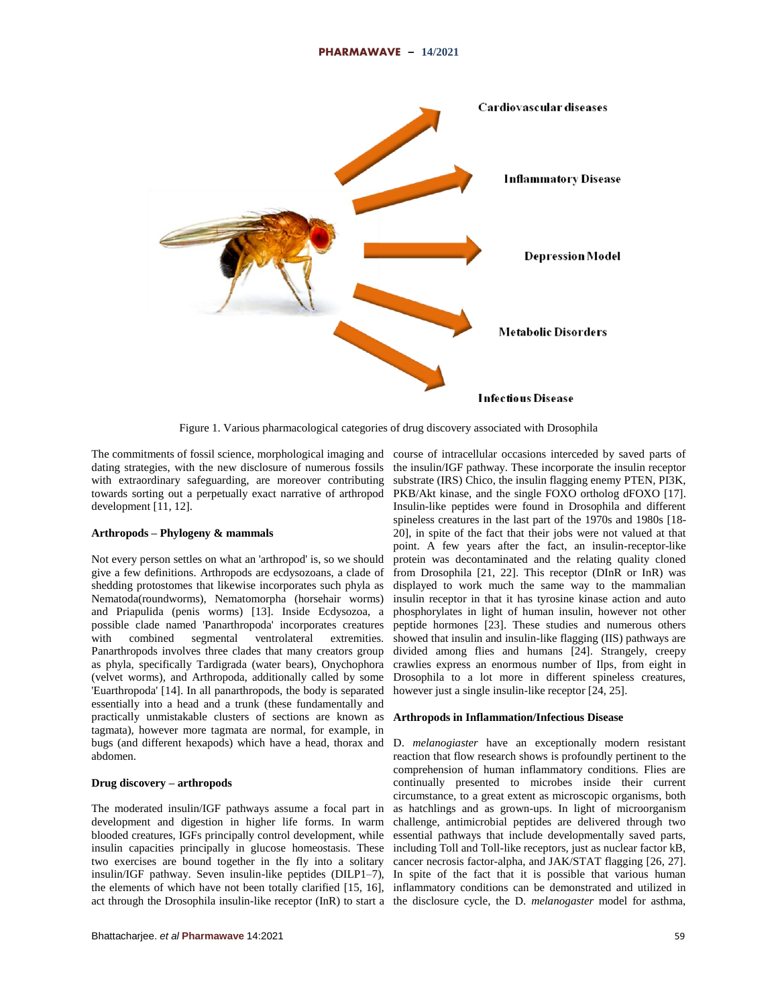

Figure 1. Various pharmacological categories of drug discovery associated with Drosophila

dating strategies, with the new disclosure of numerous fossils with extraordinary safeguarding, are moreover contributing towards sorting out a perpetually exact narrative of arthropod development [11, 12].

#### **Arthropods – Phylogeny & mammals**

Not every person settles on what an 'arthropod' is, so we should give a few definitions. Arthropods are ecdysozoans, a clade of shedding protostomes that likewise incorporates such phyla as Nematoda(roundworms), Nematomorpha (horsehair worms) and Priapulida (penis worms) [13]. Inside Ecdysozoa, a possible clade named 'Panarthropoda' incorporates creatures with combined segmental ventrolateral extremities. Panarthropods involves three clades that many creators group as phyla, specifically Tardigrada (water bears), Onychophora (velvet worms), and Arthropoda, additionally called by some 'Euarthropoda' [14]. In all panarthropods, the body is separated essentially into a head and a trunk (these fundamentally and practically unmistakable clusters of sections are known as tagmata), however more tagmata are normal, for example, in bugs (and different hexapods) which have a head, thorax and D. *melanogiaster* have an exceptionally modern resistant abdomen.

#### **Drug discovery – arthropods**

The moderated insulin/IGF pathways assume a focal part in development and digestion in higher life forms. In warm blooded creatures, IGFs principally control development, while

The commitments of fossil science, morphological imaging and course of intracellular occasions interceded by saved parts of the insulin/IGF pathway. These incorporate the insulin receptor substrate (IRS) Chico, the insulin flagging enemy PTEN, PI3K, PKB/Akt kinase, and the single FOXO ortholog dFOXO [17]. Insulin-like peptides were found in Drosophila and different spineless creatures in the last part of the 1970s and 1980s [18- 20], in spite of the fact that their jobs were not valued at that point. A few years after the fact, an insulin-receptor-like protein was decontaminated and the relating quality cloned from Drosophila [21, 22]. This receptor (DInR or InR) was displayed to work much the same way to the mammalian insulin receptor in that it has tyrosine kinase action and auto phosphorylates in light of human insulin, however not other peptide hormones [23]. These studies and numerous others showed that insulin and insulin-like flagging (IIS) pathways are divided among flies and humans [24]. Strangely, creepy crawlies express an enormous number of Ilps, from eight in Drosophila to a lot more in different spineless creatures, however just a single insulin-like receptor [24, 25].

#### **Arthropods in Inflammation/Infectious Disease**

insulin capacities principally in glucose homeostasis. These including Toll and Toll-like receptors, just as nuclear factor kB, two exercises are bound together in the fly into a solitary cancer necrosis factor-alpha, and JAK/STAT flagging [26, 27]. insulin/IGF pathway. Seven insulin-like peptides (DILP1–7), In spite of the fact that it is possible that various human the elements of which have not been totally clarified [15, 16], inflammatory conditions can be demonstrated and utilized in act through the Drosophila insulin-like receptor (InR) to start a the disclosure cycle, the D. *melanogaster* model for asthma, reaction that flow research shows is profoundly pertinent to the comprehension of human inflammatory conditions. Flies are continually presented to microbes inside their current circumstance, to a great extent as microscopic organisms, both as hatchlings and as grown-ups. In light of microorganism challenge, antimicrobial peptides are delivered through two essential pathways that include developmentally saved parts,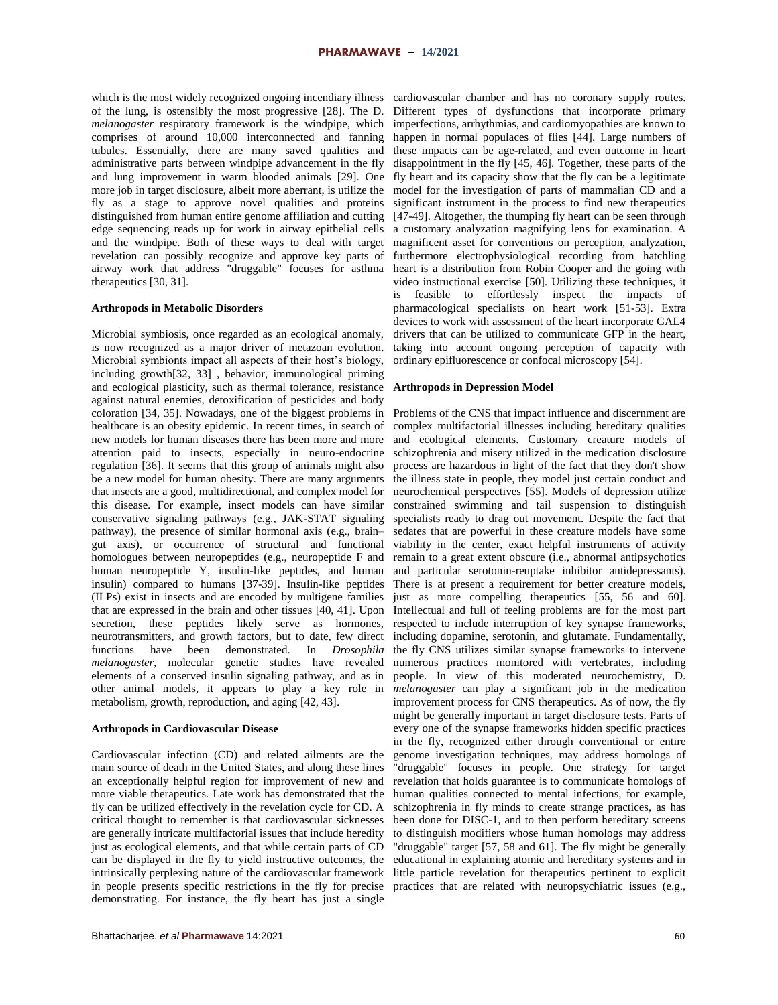of the lung, is ostensibly the most progressive [28]. The D. *melanogaster* respiratory framework is the windpipe, which comprises of around 10,000 interconnected and fanning tubules. Essentially, there are many saved qualities and administrative parts between windpipe advancement in the fly and lung improvement in warm blooded animals [29]. One more job in target disclosure, albeit more aberrant, is utilize the fly as a stage to approve novel qualities and proteins distinguished from human entire genome affiliation and cutting edge sequencing reads up for work in airway epithelial cells and the windpipe. Both of these ways to deal with target revelation can possibly recognize and approve key parts of airway work that address "druggable" focuses for asthma therapeutics [30, 31].

#### **Arthropods in Metabolic Disorders**

Microbial symbiosis, once regarded as an ecological anomaly, is now recognized as a major driver of metazoan evolution. Microbial symbionts impact all aspects of their host's biology, including growth[32, 33] , behavior, immunological priming and ecological plasticity, such as thermal tolerance, resistance against natural enemies, detoxification of pesticides and body coloration [34, 35]. Nowadays, one of the biggest problems in healthcare is an obesity epidemic. In recent times, in search of new models for human diseases there has been more and more attention paid to insects, especially in neuro-endocrine regulation [36]. It seems that this group of animals might also be a new model for human obesity. There are many arguments that insects are a good, multidirectional, and complex model for this disease. For example, insect models can have similar conservative signaling pathways (e.g., JAK-STAT signaling pathway), the presence of similar hormonal axis (e.g., brain– gut axis), or occurrence of structural and functional homologues between neuropeptides (e.g., neuropeptide F and human neuropeptide Y, insulin-like peptides, and human insulin) compared to humans [37-39]. Insulin-like peptides (ILPs) exist in insects and are encoded by multigene families that are expressed in the brain and other tissues [40, 41]. Upon secretion, these peptides likely serve as hormones, neurotransmitters, and growth factors, but to date, few direct functions have been demonstrated. In *Drosophila melanogaster*, molecular genetic studies have revealed elements of a conserved insulin signaling pathway, and as in other animal models, it appears to play a key role in metabolism, growth, reproduction, and aging [42, 43].

#### **Arthropods in Cardiovascular Disease**

Cardiovascular infection (CD) and related ailments are the main source of death in the United States, and along these lines an exceptionally helpful region for improvement of new and more viable therapeutics. Late work has demonstrated that the fly can be utilized effectively in the revelation cycle for CD. A critical thought to remember is that cardiovascular sicknesses are generally intricate multifactorial issues that include heredity just as ecological elements, and that while certain parts of CD can be displayed in the fly to yield instructive outcomes, the intrinsically perplexing nature of the cardiovascular framework demonstrating. For instance, the fly heart has just a single

which is the most widely recognized ongoing incendiary illness cardiovascular chamber and has no coronary supply routes. Different types of dysfunctions that incorporate primary imperfections, arrhythmias, and cardiomyopathies are known to happen in normal populaces of flies [44]. Large numbers of these impacts can be age-related, and even outcome in heart disappointment in the fly [45, 46]. Together, these parts of the fly heart and its capacity show that the fly can be a legitimate model for the investigation of parts of mammalian CD and a significant instrument in the process to find new therapeutics [47-49]. Altogether, the thumping fly heart can be seen through a customary analyzation magnifying lens for examination. A magnificent asset for conventions on perception, analyzation, furthermore electrophysiological recording from hatchling heart is a distribution from Robin Cooper and the going with video instructional exercise [50]. Utilizing these techniques, it is feasible to effortlessly inspect the impacts of pharmacological specialists on heart work [51-53]. Extra devices to work with assessment of the heart incorporate GAL4 drivers that can be utilized to communicate GFP in the heart, taking into account ongoing perception of capacity with ordinary epifluorescence or confocal microscopy [54].

#### **Arthropods in Depression Model**

in people presents specific restrictions in the fly for precise practices that are related with neuropsychiatric issues (e.g., Problems of the CNS that impact influence and discernment are complex multifactorial illnesses including hereditary qualities and ecological elements. Customary creature models of schizophrenia and misery utilized in the medication disclosure process are hazardous in light of the fact that they don't show the illness state in people, they model just certain conduct and neurochemical perspectives [55]. Models of depression utilize constrained swimming and tail suspension to distinguish specialists ready to drag out movement. Despite the fact that sedates that are powerful in these creature models have some viability in the center, exact helpful instruments of activity remain to a great extent obscure (i.e., abnormal antipsychotics and particular serotonin-reuptake inhibitor antidepressants). There is at present a requirement for better creature models, just as more compelling therapeutics [55, 56 and 60]. Intellectual and full of feeling problems are for the most part respected to include interruption of key synapse frameworks, including dopamine, serotonin, and glutamate. Fundamentally, the fly CNS utilizes similar synapse frameworks to intervene numerous practices monitored with vertebrates, including people. In view of this moderated neurochemistry, D. *melanogaster* can play a significant job in the medication improvement process for CNS therapeutics. As of now, the fly might be generally important in target disclosure tests. Parts of every one of the synapse frameworks hidden specific practices in the fly, recognized either through conventional or entire genome investigation techniques, may address homologs of "druggable" focuses in people. One strategy for target revelation that holds guarantee is to communicate homologs of human qualities connected to mental infections, for example, schizophrenia in fly minds to create strange practices, as has been done for DISC-1, and to then perform hereditary screens to distinguish modifiers whose human homologs may address "druggable" target [57, 58 and 61]. The fly might be generally educational in explaining atomic and hereditary systems and in little particle revelation for therapeutics pertinent to explicit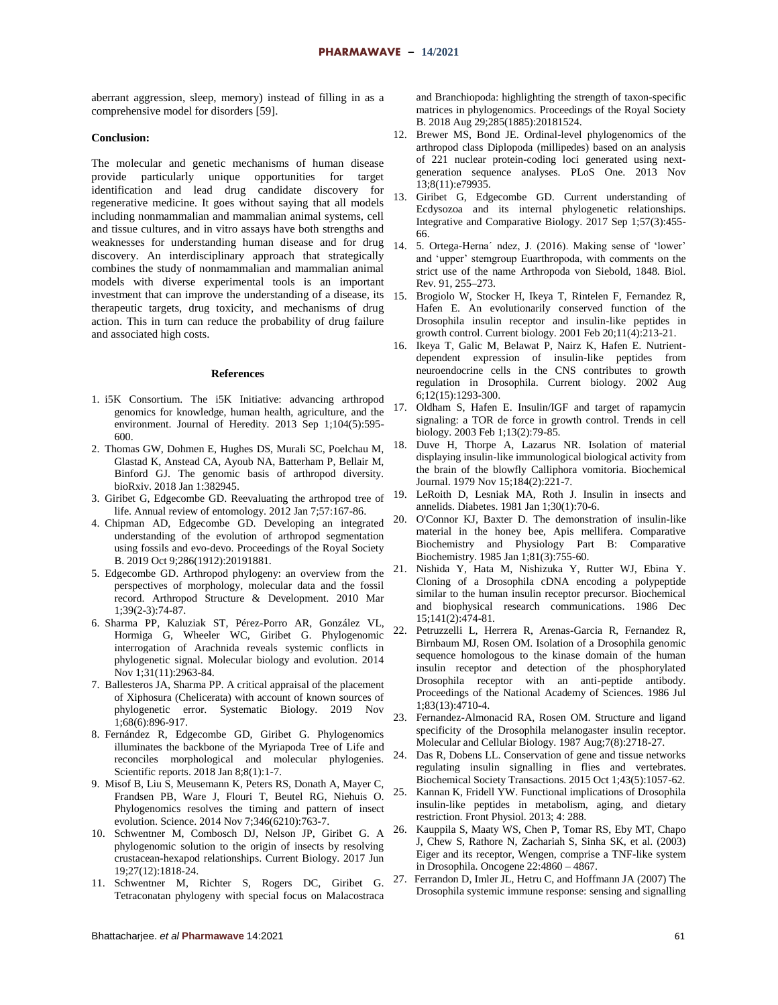aberrant aggression, sleep, memory) instead of filling in as a comprehensive model for disorders [59].

#### **Conclusion:**

The molecular and genetic mechanisms of human disease provide particularly unique opportunities for target identification and lead drug candidate discovery for regenerative medicine. It goes without saying that all models including nonmammalian and mammalian animal systems, cell and tissue cultures, and in vitro assays have both strengths and weaknesses for understanding human disease and for drug discovery. An interdisciplinary approach that strategically combines the study of nonmammalian and mammalian animal models with diverse experimental tools is an important investment that can improve the understanding of a disease, its therapeutic targets, drug toxicity, and mechanisms of drug action. This in turn can reduce the probability of drug failure and associated high costs.

#### **References**

- 1. i5K Consortium. The i5K Initiative: advancing arthropod genomics for knowledge, human health, agriculture, and the environment. Journal of Heredity. 2013 Sep 1;104(5):595- 600.
- 2. Thomas GW, Dohmen E, Hughes DS, Murali SC, Poelchau M, Glastad K, Anstead CA, Ayoub NA, Batterham P, Bellair M, Binford GJ. The genomic basis of arthropod diversity. bioRxiv. 2018 Jan 1:382945.
- 3. Giribet G, Edgecombe GD. Reevaluating the arthropod tree of life. Annual review of entomology. 2012 Jan 7;57:167-86.
- 4. Chipman AD, Edgecombe GD. Developing an integrated understanding of the evolution of arthropod segmentation using fossils and evo-devo. Proceedings of the Royal Society B. 2019 Oct 9;286(1912):20191881.
- 5. Edgecombe GD. Arthropod phylogeny: an overview from the perspectives of morphology, molecular data and the fossil record. Arthropod Structure & Development. 2010 Mar 1;39(2-3):74-87.
- 6. Sharma PP, Kaluziak ST, Pérez-Porro AR, González VL, Hormiga G, Wheeler WC, Giribet G. Phylogenomic interrogation of Arachnida reveals systemic conflicts in phylogenetic signal. Molecular biology and evolution. 2014 Nov 1;31(11):2963-84.
- 7. Ballesteros JA, Sharma PP. A critical appraisal of the placement of Xiphosura (Chelicerata) with account of known sources of phylogenetic error. Systematic Biology. 2019 Nov 1;68(6):896-917.
- 8. Fernández R, Edgecombe GD, Giribet G. Phylogenomics illuminates the backbone of the Myriapoda Tree of Life and reconciles morphological and molecular phylogenies. Scientific reports. 2018 Jan 8;8(1):1-7.
- 9. Misof B, Liu S, Meusemann K, Peters RS, Donath A, Mayer C, Frandsen PB, Ware J, Flouri T, Beutel RG, Niehuis O. Phylogenomics resolves the timing and pattern of insect evolution. Science. 2014 Nov 7;346(6210):763-7.
- 10. Schwentner M, Combosch DJ, Nelson JP, Giribet G. A phylogenomic solution to the origin of insects by resolving crustacean-hexapod relationships. Current Biology. 2017 Jun 19;27(12):1818-24.
- 11. Schwentner M, Richter S, Rogers DC, Giribet G. Tetraconatan phylogeny with special focus on Malacostraca

and Branchiopoda: highlighting the strength of taxon-specific matrices in phylogenomics. Proceedings of the Royal Society B. 2018 Aug 29;285(1885):20181524.

- 12. Brewer MS, Bond JE. Ordinal-level phylogenomics of the arthropod class Diplopoda (millipedes) based on an analysis of 221 nuclear protein-coding loci generated using nextgeneration sequence analyses. PLoS One. 2013 Nov 13;8(11):e79935.
- 13. Giribet G, Edgecombe GD. Current understanding of Ecdysozoa and its internal phylogenetic relationships. Integrative and Comparative Biology. 2017 Sep 1;57(3):455- 66.
- 14. 5. Ortega-Herna´ ndez, J. (2016). Making sense of 'lower' and 'upper' stemgroup Euarthropoda, with comments on the strict use of the name Arthropoda von Siebold, 1848. Biol. Rev. 91, 255–273.
- 15. Brogiolo W, Stocker H, Ikeya T, Rintelen F, Fernandez R, Hafen E. An evolutionarily conserved function of the Drosophila insulin receptor and insulin-like peptides in growth control. Current biology. 2001 Feb 20;11(4):213-21.
- 16. Ikeya T, Galic M, Belawat P, Nairz K, Hafen E. Nutrientdependent expression of insulin-like peptides from neuroendocrine cells in the CNS contributes to growth regulation in Drosophila. Current biology. 2002 Aug 6;12(15):1293-300.
- 17. Oldham S, Hafen E. Insulin/IGF and target of rapamycin signaling: a TOR de force in growth control. Trends in cell biology. 2003 Feb 1;13(2):79-85.
- 18. Duve H, Thorpe A, Lazarus NR. Isolation of material displaying insulin-like immunological biological activity from the brain of the blowfly Calliphora vomitoria. Biochemical Journal. 1979 Nov 15;184(2):221-7.
- 19. LeRoith D, Lesniak MA, Roth J. Insulin in insects and annelids. Diabetes. 1981 Jan 1;30(1):70-6.
- 20. O'Connor KJ, Baxter D. The demonstration of insulin-like material in the honey bee, Apis mellifera. Comparative Biochemistry and Physiology Part B: Comparative Biochemistry. 1985 Jan 1;81(3):755-60.
- 21. Nishida Y, Hata M, Nishizuka Y, Rutter WJ, Ebina Y. Cloning of a Drosophila cDNA encoding a polypeptide similar to the human insulin receptor precursor. Biochemical and biophysical research communications. 1986 Dec 15;141(2):474-81.
- 22. Petruzzelli L, Herrera R, Arenas-Garcia R, Fernandez R, Birnbaum MJ, Rosen OM. Isolation of a Drosophila genomic sequence homologous to the kinase domain of the human insulin receptor and detection of the phosphorylated Drosophila receptor with an anti-peptide antibody. Proceedings of the National Academy of Sciences. 1986 Jul 1;83(13):4710-4.
- 23. Fernandez-Almonacid RA, Rosen OM. Structure and ligand specificity of the Drosophila melanogaster insulin receptor. Molecular and Cellular Biology. 1987 Aug;7(8):2718-27.
- 24. Das R, Dobens LL. Conservation of gene and tissue networks regulating insulin signalling in flies and vertebrates. Biochemical Society Transactions. 2015 Oct 1;43(5):1057-62.
- 25. Kannan K, Fridell YW. Functional implications of Drosophila insulin-like peptides in metabolism, aging, and dietary restriction. Front Physiol. 2013; 4: 288.
- 26. Kauppila S, Maaty WS, Chen P, Tomar RS, Eby MT, Chapo J, Chew S, Rathore N, Zachariah S, Sinha SK, et al. (2003) Eiger and its receptor, Wengen, comprise a TNF-like system in Drosophila. Oncogene 22:4860 – 4867.
- 27. Ferrandon D, Imler JL, Hetru C, and Hoffmann JA (2007) The Drosophila systemic immune response: sensing and signalling